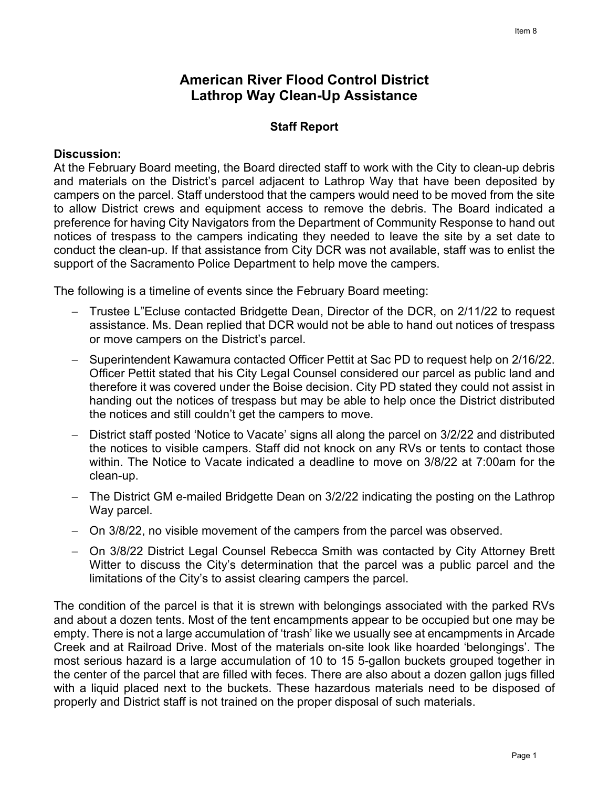## **American River Flood Control District Lathrop Way Clean-Up Assistance**

## **Staff Report**

## **Discussion:**

At the February Board meeting, the Board directed staff to work with the City to clean-up debris and materials on the District's parcel adjacent to Lathrop Way that have been deposited by campers on the parcel. Staff understood that the campers would need to be moved from the site to allow District crews and equipment access to remove the debris. The Board indicated a preference for having City Navigators from the Department of Community Response to hand out notices of trespass to the campers indicating they needed to leave the site by a set date to conduct the clean-up. If that assistance from City DCR was not available, staff was to enlist the support of the Sacramento Police Department to help move the campers.

The following is a timeline of events since the February Board meeting:

- − Trustee L"Ecluse contacted Bridgette Dean, Director of the DCR, on 2/11/22 to request assistance. Ms. Dean replied that DCR would not be able to hand out notices of trespass or move campers on the District's parcel.
- − Superintendent Kawamura contacted Officer Pettit at Sac PD to request help on 2/16/22. Officer Pettit stated that his City Legal Counsel considered our parcel as public land and therefore it was covered under the Boise decision. City PD stated they could not assist in handing out the notices of trespass but may be able to help once the District distributed the notices and still couldn't get the campers to move.
- − District staff posted 'Notice to Vacate' signs all along the parcel on 3/2/22 and distributed the notices to visible campers. Staff did not knock on any RVs or tents to contact those within. The Notice to Vacate indicated a deadline to move on 3/8/22 at 7:00am for the clean-up.
- − The District GM e-mailed Bridgette Dean on 3/2/22 indicating the posting on the Lathrop Way parcel.
- − On 3/8/22, no visible movement of the campers from the parcel was observed.
- − On 3/8/22 District Legal Counsel Rebecca Smith was contacted by City Attorney Brett Witter to discuss the City's determination that the parcel was a public parcel and the limitations of the City's to assist clearing campers the parcel.

The condition of the parcel is that it is strewn with belongings associated with the parked RVs and about a dozen tents. Most of the tent encampments appear to be occupied but one may be empty. There is not a large accumulation of 'trash' like we usually see at encampments in Arcade Creek and at Railroad Drive. Most of the materials on-site look like hoarded 'belongings'. The most serious hazard is a large accumulation of 10 to 15 5-gallon buckets grouped together in the center of the parcel that are filled with feces. There are also about a dozen gallon jugs filled with a liquid placed next to the buckets. These hazardous materials need to be disposed of properly and District staff is not trained on the proper disposal of such materials.